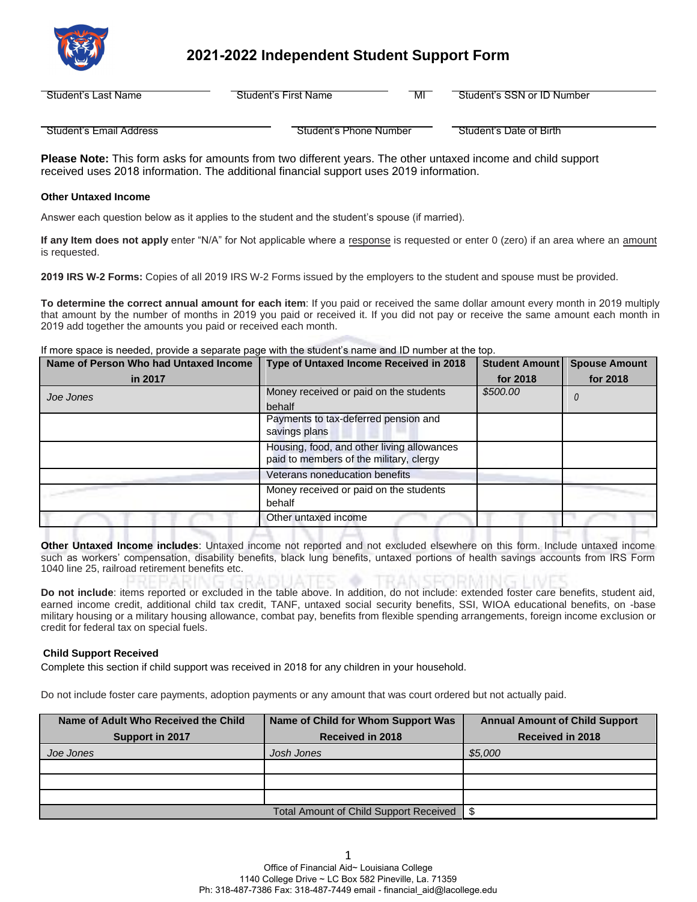

# **2021-2022 Independent Student Support Form**

| Student's | Student's First Name | МІ | Student's SSN or ID |
|-----------|----------------------|----|---------------------|
| Last Name |                      |    | / Number            |
|           |                      |    |                     |

Student's Email Address **Student's Phone Number Student's Date of Birth** 

**Please Note:** This form asks for amounts from two different years. The other untaxed income and child support received uses 2018 information. The additional financial support uses 2019 information.

# **Other Untaxed Income**

Answer each question below as it applies to the student and the student's spouse (if married).

**If any Item does not apply** enter "N/A" for Not applicable where a response is requested or enter 0 (zero) if an area where an amount is requested.

**2019 IRS W-2 Forms:** Copies of all 2019 IRS W-2 Forms issued by the employers to the student and spouse must be provided.

**To determine the correct annual amount for each item**: If you paid or received the same dollar amount every month in 2019 multiply that amount by the number of months in 2019 you paid or received it. If you did not pay or receive the same amount each month in 2019 add together the amounts you paid or received each month.

If more space is needed, provide a separate page with the student's name and ID number at the top.

| Name of Person Who had Untaxed Income | Type of Untaxed Income Received in 2018                                               | Student Amount | <b>Spouse Amount</b> |
|---------------------------------------|---------------------------------------------------------------------------------------|----------------|----------------------|
| in 2017                               |                                                                                       | for 2018       | for 2018             |
| Joe Jones                             | Money received or paid on the students                                                | \$500.00       |                      |
|                                       | behalf                                                                                |                |                      |
|                                       | Payments to tax-deferred pension and<br>savings plans                                 |                |                      |
|                                       | Housing, food, and other living allowances<br>paid to members of the military, clergy |                |                      |
|                                       | Veterans noneducation benefits                                                        |                |                      |
|                                       | Money received or paid on the students<br>behalf                                      |                |                      |
|                                       | Other untaxed income                                                                  |                |                      |

**Other Untaxed Income includes**: Untaxed income not reported and not excluded elsewhere on this form. Include untaxed income such as workers' compensation, disability benefits, black lung benefits, untaxed portions of health savings accounts from IRS Form 1040 line 25, railroad retirement benefits etc.

**Do not include**: items reported or excluded in the table above. In addition, do not include: extended foster care benefits, student aid, earned income credit, additional child tax credit, TANF, untaxed social security benefits, SSI, WIOA educational benefits, on -base military housing or a military housing allowance, combat pay, benefits from flexible spending arrangements, foreign income exclusion or credit for federal tax on special fuels.

## **Child Support Received**

Complete this section if child support was received in 2018 for any children in your household.

Do not include foster care payments, adoption payments or any amount that was court ordered but not actually paid.

| Name of Adult Who Received the Child | Name of Child for Whom Support Was            | <b>Annual Amount of Child Support</b> |
|--------------------------------------|-----------------------------------------------|---------------------------------------|
| Support in 2017                      | <b>Received in 2018</b>                       | <b>Received in 2018</b>               |
| Joe Jones                            | Josh Jones                                    | \$5,000                               |
|                                      |                                               |                                       |
|                                      |                                               |                                       |
|                                      |                                               |                                       |
|                                      | <b>Total Amount of Child Support Received</b> |                                       |